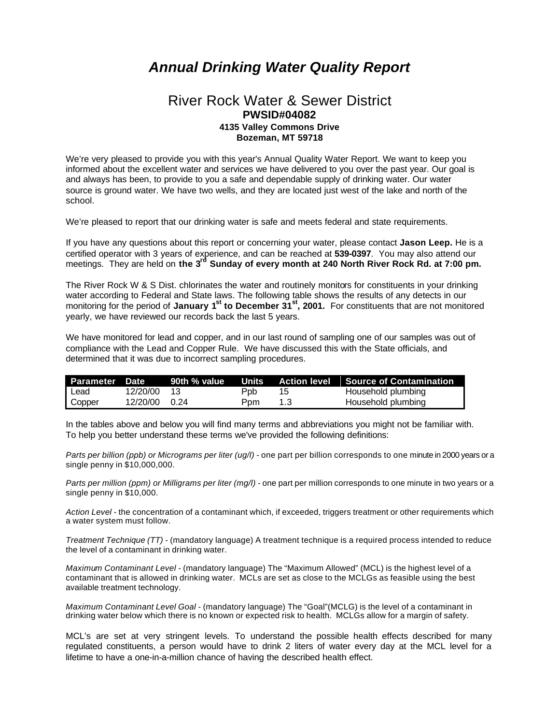## *Annual Drinking Water Quality Report*

## River Rock Water & Sewer District **PWSID#04082 4135 Valley Commons Drive Bozeman, MT 59718**

We're very pleased to provide you with this year's Annual Quality Water Report. We want to keep you informed about the excellent water and services we have delivered to you over the past year. Our goal is and always has been, to provide to you a safe and dependable supply of drinking water. Our water source is ground water. We have two wells, and they are located just west of the lake and north of the school.

We're pleased to report that our drinking water is safe and meets federal and state requirements.

If you have any questions about this report or concerning your water, please contact **Jason Leep.** He is a certified operator with 3 years of experience, and can be reached at **539-0397**. You may also attend our meetings. They are held on **the 3rd Sunday of every month at 240 North River Rock Rd. at 7:00 pm.**

The River Rock W & S Dist. chlorinates the water and routinely monitors for constituents in your drinking water according to Federal and State laws. The following table shows the results of any detects in our monitoring for the period of **January 1st to December 31st, 2001.** For constituents that are not monitored yearly, we have reviewed our records back the last 5 years.

We have monitored for lead and copper, and in our last round of sampling one of our samples was out of compliance with the Lead and Copper Rule. We have discussed this with the State officials, and determined that it was due to incorrect sampling procedures.

| Parameter Date |               | 90th % value |      |     | Units Action level Source of Contamination |
|----------------|---------------|--------------|------|-----|--------------------------------------------|
| Lead           | 12/20/00      | $-13$        | Ppb. | 15  | Household plumbing                         |
| Copper         | 12/20/00 0.24 |              | Ppm  | 1.3 | Household plumbing                         |

In the tables above and below you will find many terms and abbreviations you might not be familiar with. To help you better understand these terms we've provided the following definitions:

*Parts per billion (ppb) or Micrograms per liter (ug/l)* - one part per billion corresponds to one minute in 2000 years or a single penny in \$10,000,000.

*Parts per million (ppm) or Milligrams per liter (mg/l)* - one part per million corresponds to one minute in two years or a single penny in \$10,000.

*Action Level* - the concentration of a contaminant which, if exceeded, triggers treatment or other requirements which a water system must follow.

*Treatment Technique (TT)* - (mandatory language) A treatment technique is a required process intended to reduce the level of a contaminant in drinking water.

*Maximum Contaminant Level* - (mandatory language) The "Maximum Allowed" (MCL) is the highest level of a contaminant that is allowed in drinking water. MCLs are set as close to the MCLGs as feasible using the best available treatment technology.

*Maximum Contaminant Level Goal* - (mandatory language) The "Goal"(MCLG) is the level of a contaminant in drinking water below which there is no known or expected risk to health. MCLGs allow for a margin of safety.

MCL's are set at very stringent levels. To understand the possible health effects described for many regulated constituents, a person would have to drink 2 liters of water every day at the MCL level for a lifetime to have a one-in-a-million chance of having the described health effect.